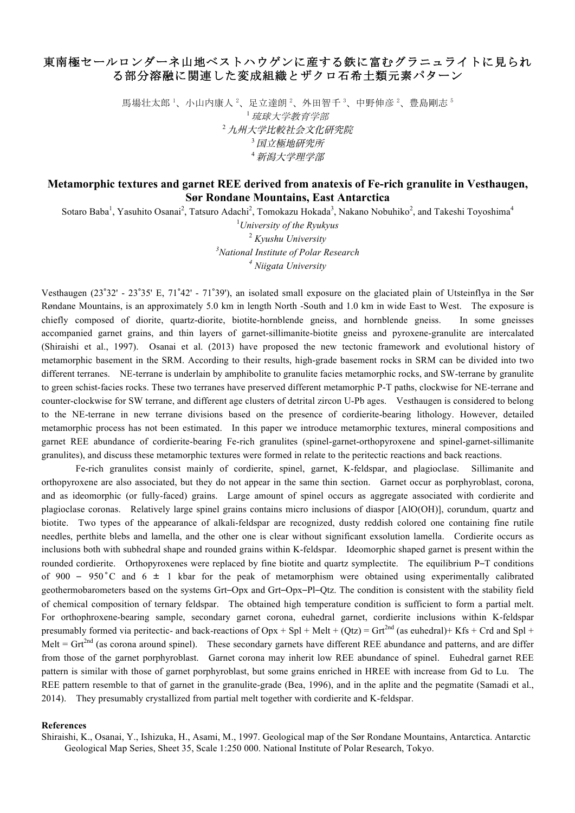## 東南極セールロンダーネ山地ベストハウゲンに産する鉄に富むグラニュライトに見られ る部分溶融に関連した変成組織とザクロ石希土類元素パターン

馬場壮太郎 '、小山内康人 '、足立達朗 '、外田智千 '、中野伸彦 '、豊島剛志 ' <sup>1</sup>琉球大学教育学部 <sup>2</sup>九州大学比較社会文化研究院 <sup>3</sup>国立極地研究所 <sup>4</sup>新潟大学理学部

## **Metamorphic textures and garnet REE derived from anatexis of Fe-rich granulite in Vesthaugen, Sør Rondane Mountains, East Antarctica**

Sotaro Baba<sup>1</sup>, Yasuhito Osanai<sup>2</sup>, Tatsuro Adachi<sup>2</sup>, Tomokazu Hokada<sup>3</sup>, Nakano Nobuhiko<sup>2</sup>, and Takeshi Toyoshima<sup>4</sup>

 *University of the Ryukyus Kyushu University National Institute of Polar Research Niigata University*

Vesthaugen (23°32' - 23°35' E, 71°42' - 71°39'), an isolated small exposure on the glaciated plain of Utsteinflya in the Sør Røndane Mountains, is an approximately 5.0 km in length North -South and 1.0 km in wide East to West. The exposure is chiefly composed of diorite, quartz-diorite, biotite-hornblende gneiss, and hornblende gneiss. In some gneisses accompanied garnet grains, and thin layers of garnet-sillimanite-biotite gneiss and pyroxene-granulite are intercalated (Shiraishi et al., 1997). Osanai et al. (2013) have proposed the new tectonic framework and evolutional history of metamorphic basement in the SRM. According to their results, high-grade basement rocks in SRM can be divided into two different terranes. NE-terrane is underlain by amphibolite to granulite facies metamorphic rocks, and SW-terrane by granulite to green schist-facies rocks. These two terranes have preserved different metamorphic P-T paths, clockwise for NE-terrane and counter-clockwise for SW terrane, and different age clusters of detrital zircon U-Pb ages. Vesthaugen is considered to belong to the NE-terrane in new terrane divisions based on the presence of cordierite-bearing lithology. However, detailed metamorphic process has not been estimated. In this paper we introduce metamorphic textures, mineral compositions and garnet REE abundance of cordierite-bearing Fe-rich granulites (spinel-garnet-orthopyroxene and spinel-garnet-sillimanite granulites), and discuss these metamorphic textures were formed in relate to the peritectic reactions and back reactions.

Fe-rich granulites consist mainly of cordierite, spinel, garnet, K-feldspar, and plagioclase. Sillimanite and orthopyroxene are also associated, but they do not appear in the same thin section. Garnet occur as porphyroblast, corona, and as ideomorphic (or fully-faced) grains. Large amount of spinel occurs as aggregate associated with cordierite and plagioclase coronas. Relatively large spinel grains contains micro inclusions of diaspor [AlO(OH)], corundum, quartz and biotite. Two types of the appearance of alkali-feldspar are recognized, dusty reddish colored one containing fine rutile needles, perthite blebs and lamella, and the other one is clear without significant exsolution lamella. Cordierite occurs as inclusions both with subhedral shape and rounded grains within K-feldspar. Ideomorphic shaped garnet is present within the rounded cordierite. Orthopyroxenes were replaced by fine biotite and quartz symplectite. The equilibrium P–T conditions of 900 – 950 °C and 6  $\pm$  1 kbar for the peak of metamorphism were obtained using experimentally calibrated geothermobarometers based on the systems Grt–Opx and Grt–Opx–Pl–Qtz. The condition is consistent with the stability field of chemical composition of ternary feldspar. The obtained high temperature condition is sufficient to form a partial melt. For orthophroxene-bearing sample, secondary garnet corona, euhedral garnet, cordierite inclusions within K-feldspar presumably formed via peritectic- and back-reactions of  $Opx + Spl + Melt + (Qtz) = Grt<sup>2nd</sup>$  (as euhedral)+ Kfs + Crd and Spl + Melt =  $Grt^{2nd}$  (as corona around spinel). These secondary garnets have different REE abundance and patterns, and are differ from those of the garnet porphyroblast. Garnet corona may inherit low REE abundance of spinel. Euhedral garnet REE pattern is similar with those of garnet porphyroblast, but some grains enriched in HREE with increase from Gd to Lu. The REE pattern resemble to that of garnet in the granulite-grade (Bea, 1996), and in the aplite and the pegmatite (Samadi et al., 2014). They presumably crystallized from partial melt together with cordierite and K-feldspar.

## **References**

Shiraishi, K., Osanai, Y., Ishizuka, H., Asami, M., 1997. Geological map of the Sør Rondane Mountains, Antarctica. Antarctic Geological Map Series, Sheet 35, Scale 1:250 000. National Institute of Polar Research, Tokyo.